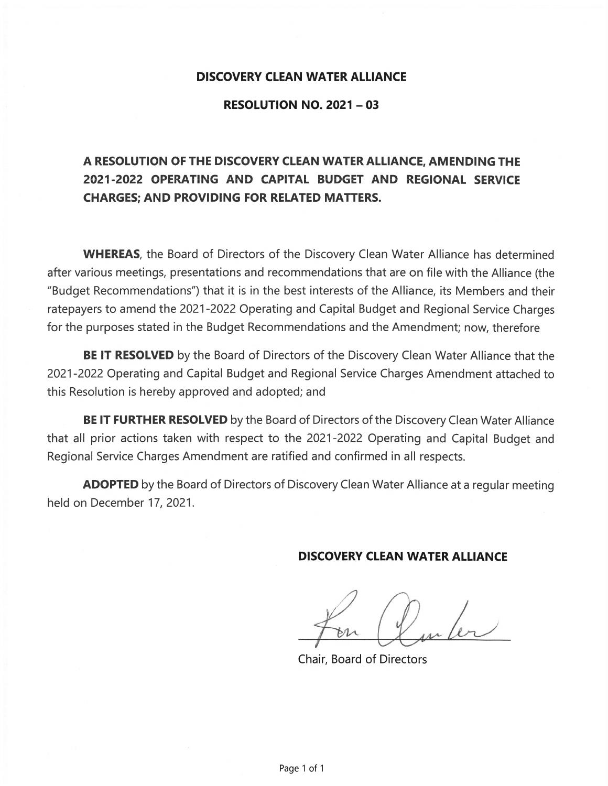#### **DISCOVERY CLEAN WATER ALLIANCE**

#### **RESOLUTION NO. 2021 - 03**

# A RESOLUTION OF THE DISCOVERY CLEAN WATER ALLIANCE, AMENDING THE 2021-2022 OPERATING AND CAPITAL BUDGET AND REGIONAL SERVICE **CHARGES: AND PROVIDING FOR RELATED MATTERS.**

**WHEREAS**, the Board of Directors of the Discovery Clean Water Alliance has determined after various meetings, presentations and recommendations that are on file with the Alliance (the "Budget Recommendations") that it is in the best interests of the Alliance, its Members and their ratepayers to amend the 2021-2022 Operating and Capital Budget and Regional Service Charges for the purposes stated in the Budget Recommendations and the Amendment; now, therefore

**BE IT RESOLVED** by the Board of Directors of the Discovery Clean Water Alliance that the 2021-2022 Operating and Capital Budget and Regional Service Charges Amendment attached to this Resolution is hereby approved and adopted; and

BE IT FURTHER RESOLVED by the Board of Directors of the Discovery Clean Water Alliance that all prior actions taken with respect to the 2021-2022 Operating and Capital Budget and Regional Service Charges Amendment are ratified and confirmed in all respects.

**ADOPTED** by the Board of Directors of Discovery Clean Water Alliance at a regular meeting held on December 17, 2021.

#### **DISCOVERY CLEAN WATER ALLIANCE**

**Chair, Board of Directors**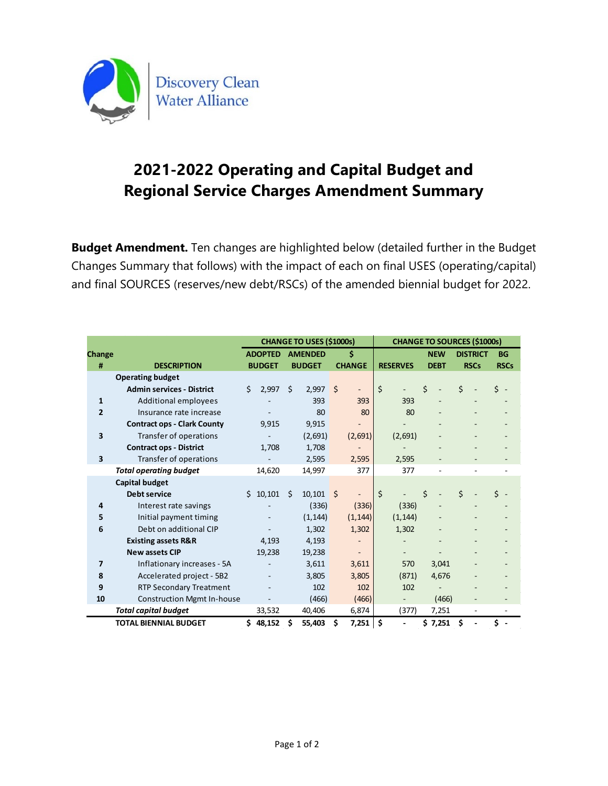

# **2021-2022 Operating and Capital Budget and Regional Service Charges Amendment Summary**

**Budget Amendment.** Ten changes are highlighted below (detailed further in the Budget Changes Summary that follows) with the impact of each on final USES (operating/capital) and final SOURCES (reserves/new debt/RSCs) of the amended biennial budget for 2022.

|                |                                    | <b>CHANGE TO USES (\$1000s)</b> |  |                |               |         | <b>CHANGE TO SOURCES (\$1000s)</b> |         |                          |   |             |   |                 |             |  |
|----------------|------------------------------------|---------------------------------|--|----------------|---------------|---------|------------------------------------|---------|--------------------------|---|-------------|---|-----------------|-------------|--|
| Change         |                                    | <b>ADOPTED</b>                  |  | <b>AMENDED</b> |               | \$      |                                    |         |                          |   | <b>NEW</b>  |   | <b>DISTRICT</b> | <b>BG</b>   |  |
| #              | <b>DESCRIPTION</b>                 | <b>BUDGET</b>                   |  |                | <b>BUDGET</b> |         | <b>CHANGE</b>                      |         | <b>RESERVES</b>          |   | <b>DEBT</b> |   | <b>RSCs</b>     | <b>RSCs</b> |  |
|                | <b>Operating budget</b>            |                                 |  |                |               |         |                                    |         |                          |   |             |   |                 |             |  |
|                | <b>Admin services - District</b>   | Ś.<br>2,997                     |  | Ś.             | 2,997         | $\zeta$ |                                    | $\zeta$ |                          | Ś |             | Ś |                 | ς           |  |
| $\mathbf{1}$   | <b>Additional employees</b>        |                                 |  |                | 393           |         | 393                                |         | 393                      |   |             |   |                 |             |  |
| $\overline{2}$ | Insurance rate increase            |                                 |  |                | 80            |         | 80                                 |         | 80                       |   |             |   |                 |             |  |
|                | <b>Contract ops - Clark County</b> | 9.915                           |  |                | 9,915         |         |                                    |         |                          |   |             |   |                 |             |  |
| 3              | Transfer of operations             |                                 |  |                | (2,691)       |         | (2,691)                            |         | (2,691)                  |   |             |   |                 |             |  |
|                | <b>Contract ops - District</b>     | 1,708                           |  |                | 1,708         |         |                                    |         |                          |   |             |   |                 |             |  |
| 3              | Transfer of operations             |                                 |  |                | 2,595         |         | 2,595                              |         | 2,595                    |   |             |   |                 |             |  |
|                | <b>Total operating budget</b>      | 14,620                          |  |                | 14,997        |         | 377                                |         | 377                      |   |             |   |                 |             |  |
|                | <b>Capital budget</b>              |                                 |  |                |               |         |                                    |         |                          |   |             |   |                 |             |  |
|                | <b>Debt service</b>                | \$10,101                        |  | Ś.             | 10,101        | - \$    |                                    | \$      |                          | Ś |             | Ś |                 |             |  |
| 4              | Interest rate savings              |                                 |  |                | (336)         |         | (336)                              |         | (336)                    |   |             |   |                 |             |  |
| 5              | Initial payment timing             |                                 |  |                | (1, 144)      |         | (1, 144)                           |         | (1, 144)                 |   |             |   |                 |             |  |
| 6              | Debt on additional CIP             |                                 |  |                | 1,302         |         | 1,302                              |         | 1,302                    |   |             |   |                 |             |  |
|                | <b>Existing assets R&amp;R</b>     | 4,193                           |  |                | 4,193         |         |                                    |         |                          |   |             |   |                 |             |  |
|                | <b>New assets CIP</b>              | 19,238                          |  |                | 19,238        |         |                                    |         |                          |   |             |   |                 |             |  |
| $\overline{7}$ | Inflationary increases - 5A        |                                 |  |                | 3,611         |         | 3,611                              |         | 570                      |   | 3,041       |   |                 |             |  |
| 8              | Accelerated project - 5B2          |                                 |  |                | 3,805         |         | 3,805                              |         | (871)                    |   | 4,676       |   |                 |             |  |
| 9              | <b>RTP Secondary Treatment</b>     |                                 |  |                | 102           |         | 102                                |         | 102                      |   |             |   |                 |             |  |
| 10             | <b>Construction Mgmt In-house</b>  |                                 |  |                | (466)         |         | (466)                              |         | $\overline{\phantom{0}}$ |   | (466)       |   |                 |             |  |
|                | <b>Total capital budget</b>        | 33,532                          |  |                | 40,406        |         | 6,874                              |         | (377)                    |   | 7,251       |   | ۰               |             |  |
|                | <b>TOTAL BIENNIAL BUDGET</b>       | \$48,152                        |  | \$             | 55,403        | Ŝ.      | $7,251$ \$                         |         |                          |   | \$7,251     | Ś |                 | Ś.          |  |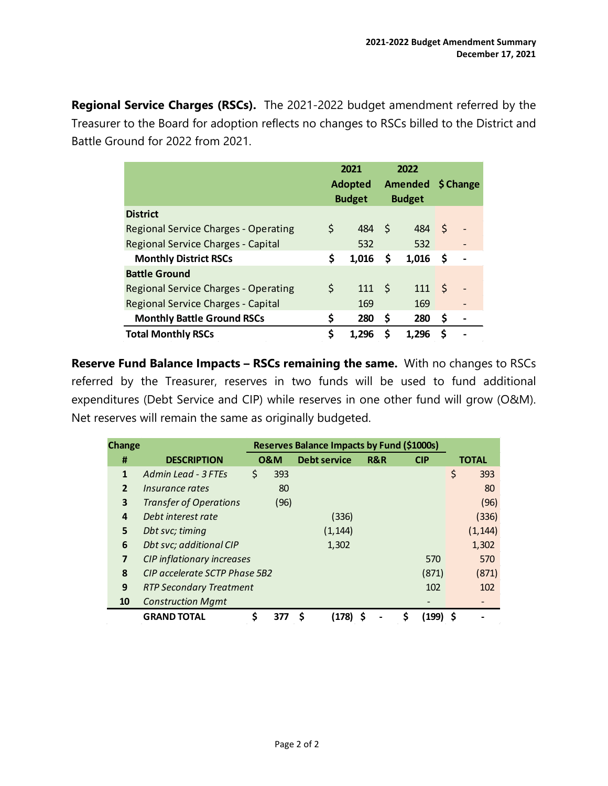**Regional Service Charges (RSCs).** The 2021-2022 budget amendment referred by the Treasurer to the Board for adoption reflects no changes to RSCs billed to the District and Battle Ground for 2022 from 2021.

|                                             | 2021<br><b>Adopted</b><br><b>Budget</b> |       | 2022<br>Amended \$ Change<br><b>Budget</b> |       |     |                   |
|---------------------------------------------|-----------------------------------------|-------|--------------------------------------------|-------|-----|-------------------|
| <b>District</b>                             |                                         |       |                                            |       |     |                   |
| <b>Regional Service Charges - Operating</b> | \$                                      | 484   | - S                                        | 484   | -S  |                   |
| Regional Service Charges - Capital          |                                         | 532   |                                            | 532   |     | $\qquad \qquad -$ |
| <b>Monthly District RSCs</b>                | \$                                      | 1,016 | \$                                         | 1,016 | \$, |                   |
| <b>Battle Ground</b>                        |                                         |       |                                            |       |     |                   |
| <b>Regional Service Charges - Operating</b> | \$                                      | 111   | - \$                                       | 111   | -\$ |                   |
| Regional Service Charges - Capital          |                                         | 169   |                                            | 169   |     | -                 |
| <b>Monthly Battle Ground RSCs</b>           | \$                                      | 280   | \$                                         | 280   | \$  |                   |
| <b>Total Monthly RSCs</b>                   | \$                                      | 1,296 | \$                                         | 1,296 | \$  |                   |

**Reserve Fund Balance Impacts – RSCs remaining the same.** With no changes to RSCs referred by the Treasurer, reserves in two funds will be used to fund additional expenditures (Debt Service and CIP) while reserves in one other fund will grow (O&M). Net reserves will remain the same as originally budgeted.

| <b>Change</b>           |                                      | <b>Reserves Balance Impacts by Fund (\$1000s)</b> |                     |     |            |          |              |
|-------------------------|--------------------------------------|---------------------------------------------------|---------------------|-----|------------|----------|--------------|
| #                       | <b>DESCRIPTION</b>                   | <b>0&amp;M</b>                                    | <b>Debt service</b> | R&R | <b>CIP</b> |          | <b>TOTAL</b> |
| 1                       | Admin Lead - 3 FTEs                  | \$<br>393                                         |                     |     |            | \$       | 393          |
| $\overline{2}$          | <i><u><b>Insurance rates</b></u></i> | 80                                                |                     |     |            |          | 80           |
| 3                       | <b>Transfer of Operations</b>        | (96)                                              |                     |     |            |          | (96)         |
| 4                       | Debt interest rate                   |                                                   | (336)               |     |            |          | (336)        |
| 5                       | Dbt svc; timing                      |                                                   | (1, 144)            |     |            |          | (1, 144)     |
| 6                       | Dbt svc; additional CIP              |                                                   | 1,302               |     |            |          | 1,302        |
| $\overline{\mathbf{z}}$ | CIP inflationary increases           |                                                   |                     |     | 570        |          | 570          |
| 8                       | CIP accelerate SCTP Phase 5B2        |                                                   |                     |     | (871)      |          | (871)        |
| 9                       | <b>RTP Secondary Treatment</b>       |                                                   |                     |     | 102        |          | 102          |
| 10                      | <b>Construction Mgmt</b>             |                                                   |                     |     |            |          |              |
|                         | <b>GRAND TOTAL</b>                   | \$<br>377                                         | (178)<br>S          |     | S<br>(199) | <b>S</b> |              |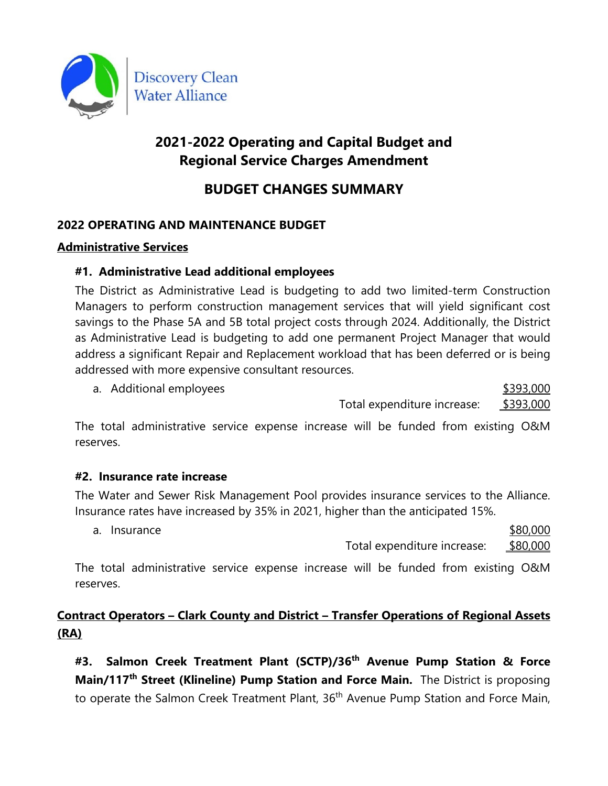

# **2021-2022 Operating and Capital Budget and Regional Service Charges Amendment**

# **BUDGET CHANGES SUMMARY**

# **2022 OPERATING AND MAINTENANCE BUDGET**

### **Administrative Services**

## **#1. Administrative Lead additional employees**

The District as Administrative Lead is budgeting to add two limited-term Construction Managers to perform construction management services that will yield significant cost savings to the Phase 5A and 5B total project costs through 2024. Additionally, the District as Administrative Lead is budgeting to add one permanent Project Manager that would address a significant Repair and Replacement workload that has been deferred or is being addressed with more expensive consultant resources.

a. Additional employees **\$393,000** Total expenditure increase: \$393,000

The total administrative service expense increase will be funded from existing O&M reserves.

### **#2. Insurance rate increase**

The Water and Sewer Risk Management Pool provides insurance services to the Alliance. Insurance rates have increased by 35% in 2021, higher than the anticipated 15%.

a. Insurance \$80,000  $\sim$ 

Total expenditure increase: \$80,000

The total administrative service expense increase will be funded from existing O&M reserves.

# **Contract Operators – Clark County and District – Transfer Operations of Regional Assets (RA)**

**#3. Salmon Creek Treatment Plant (SCTP)/36th Avenue Pump Station & Force Main/117th Street (Klineline) Pump Station and Force Main.** The District is proposing to operate the Salmon Creek Treatment Plant, 36<sup>th</sup> Avenue Pump Station and Force Main,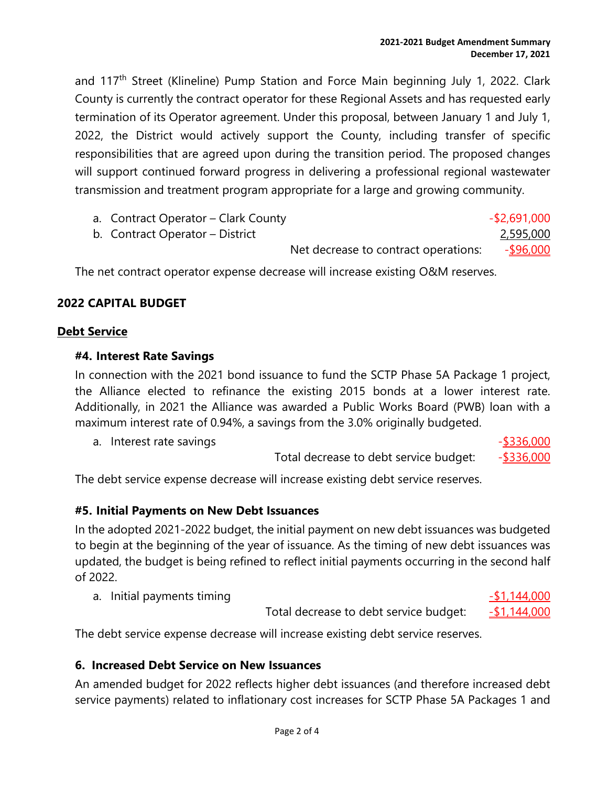and 117<sup>th</sup> Street (Klineline) Pump Station and Force Main beginning July 1, 2022. Clark County is currently the contract operator for these Regional Assets and has requested early termination of its Operator agreement. Under this proposal, between January 1 and July 1, 2022, the District would actively support the County, including transfer of specific responsibilities that are agreed upon during the transition period. The proposed changes will support continued forward progress in delivering a professional regional wastewater transmission and treatment program appropriate for a large and growing community.

| a. Contract Operator – Clark County |                                      | $-$ \$2,691,000  |
|-------------------------------------|--------------------------------------|------------------|
| b. Contract Operator – District     |                                      | 2,595,000        |
|                                     | Net decrease to contract operations: | <u>-\$96,000</u> |

The net contract operator expense decrease will increase existing O&M reserves.

#### **2022 CAPITAL BUDGET**

#### **Debt Service**

#### **#4. Interest Rate Savings**

In connection with the 2021 bond issuance to fund the SCTP Phase 5A Package 1 project, the Alliance elected to refinance the existing 2015 bonds at a lower interest rate. Additionally, in 2021 the Alliance was awarded a Public Works Board (PWB) loan with a maximum interest rate of 0.94%, a savings from the 3.0% originally budgeted.

| a. Interest rate savings |                                        | $-$ \$336,000 |
|--------------------------|----------------------------------------|---------------|
|                          | Total decrease to debt service budget: | $-$ \$336,000 |

The debt service expense decrease will increase existing debt service reserves.

#### **#5. Initial Payments on New Debt Issuances**

In the adopted 2021-2022 budget, the initial payment on new debt issuances was budgeted to begin at the beginning of the year of issuance. As the timing of new debt issuances was updated, the budget is being refined to reflect initial payments occurring in the second half of 2022.

a. Initial payments timing  $-$ \$1,144,000

Total decrease to debt service budget:  $-51,144,000$ 

The debt service expense decrease will increase existing debt service reserves.

#### **6. Increased Debt Service on New Issuances**

An amended budget for 2022 reflects higher debt issuances (and therefore increased debt service payments) related to inflationary cost increases for SCTP Phase 5A Packages 1 and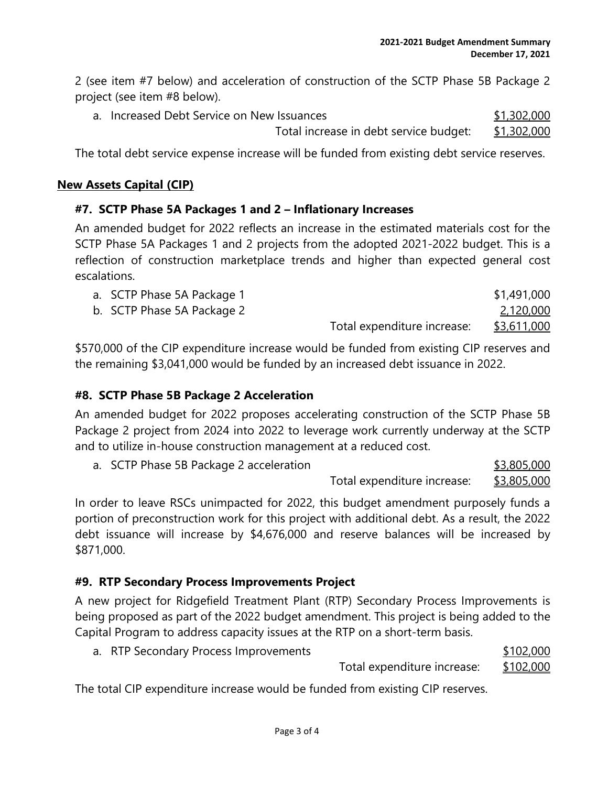2 (see item #7 below) and acceleration of construction of the SCTP Phase 5B Package 2 project (see item #8 below).

a. Increased Debt Service on New Issuances  $$1,302,000$ Total increase in debt service budget: \$1,302,000

The total debt service expense increase will be funded from existing debt service reserves.

#### **New Assets Capital (CIP)**

#### **#7. SCTP Phase 5A Packages 1 and 2 – Inflationary Increases**

An amended budget for 2022 reflects an increase in the estimated materials cost for the SCTP Phase 5A Packages 1 and 2 projects from the adopted 2021-2022 budget. This is a reflection of construction marketplace trends and higher than expected general cost escalations.

| a. SCTP Phase 5A Package 1 |                             | \$1,491,000 |
|----------------------------|-----------------------------|-------------|
| b. SCTP Phase 5A Package 2 |                             | 2,120,000   |
|                            | Total expenditure increase: | \$3,611,000 |

\$570,000 of the CIP expenditure increase would be funded from existing CIP reserves and the remaining \$3,041,000 would be funded by an increased debt issuance in 2022.

### **#8. SCTP Phase 5B Package 2 Acceleration**

An amended budget for 2022 proposes accelerating construction of the SCTP Phase 5B Package 2 project from 2024 into 2022 to leverage work currently underway at the SCTP and to utilize in-house construction management at a reduced cost.

a. SCTP Phase 5B Package 2 acceleration  $$3,805,000$ 

Total expenditure increase: \$3,805,000

In order to leave RSCs unimpacted for 2022, this budget amendment purposely funds a portion of preconstruction work for this project with additional debt. As a result, the 2022 debt issuance will increase by \$4,676,000 and reserve balances will be increased by \$871,000.

### **#9. RTP Secondary Process Improvements Project**

A new project for Ridgefield Treatment Plant (RTP) Secondary Process Improvements is being proposed as part of the 2022 budget amendment. This project is being added to the Capital Program to address capacity issues at the RTP on a short-term basis.

a. RTP Secondary Process Improvements  $$102,000$ 

Total expenditure increase: \$102,000

The total CIP expenditure increase would be funded from existing CIP reserves.